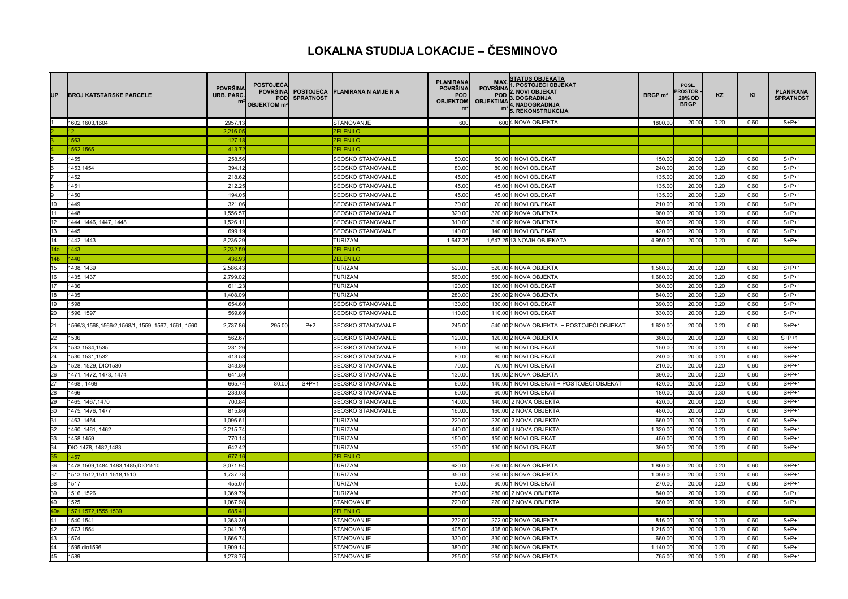## **LOKALNA STUDIJA LOKACIJE – ČESMINOVO**

| UP              | <b>IBROJ KATSTARSKE PARCELE</b>                   | <b>POVRŠINA</b><br><b>URB. PARC.</b><br>m | <b>POSTOJEČA</b><br><b>POVRŠINA</b><br><b>POD</b><br>OBJEKTOM m <sup>2</sup> | <b>POSTOJECA</b><br><b>SPRATNOST</b> | <b>IPLANIRANA N AMJE N A</b>           | <b>PLANIRANA</b><br><b>POVRŠINA</b><br><b>POD</b><br><b>OBJEKTOM</b><br>mř | <b>MAX</b><br><b>POVRŠINA</b><br><b>POD</b><br><b>OBJEKTIMA</b> | <b>STATUS OBJEKATA</b><br>. POSTOJEĆI OBJEKAT<br>2. NOVI OBJEKAT<br>3. DOGRADNJA<br>4. NADOGRADNJA<br>5. REKONSTRUKCIJA | $BRGP$ m <sup>2</sup> | POSL.<br>ROSTOR<br>20% OD<br><b>BRGP</b> | KZ   | KI   | <b>PLANIRANA</b><br><b>SPRATNOST</b> |
|-----------------|---------------------------------------------------|-------------------------------------------|------------------------------------------------------------------------------|--------------------------------------|----------------------------------------|----------------------------------------------------------------------------|-----------------------------------------------------------------|-------------------------------------------------------------------------------------------------------------------------|-----------------------|------------------------------------------|------|------|--------------------------------------|
|                 | 1602,1603,1604                                    | 2957.13                                   |                                                                              |                                      | STANOVANJE                             | 600                                                                        |                                                                 | 6004 NOVA OBJEKTA                                                                                                       | 1800.00               | 20.00                                    | 0.20 | 0.60 | $S+P+1$                              |
|                 |                                                   | 2,216.0                                   |                                                                              |                                      | ZELENILO                               |                                                                            |                                                                 |                                                                                                                         |                       |                                          |      |      |                                      |
|                 | 1563                                              | 127.1                                     |                                                                              |                                      | <b>ZELENILO</b>                        |                                                                            |                                                                 |                                                                                                                         |                       |                                          |      |      |                                      |
|                 | 1562,1565                                         | 413.7                                     |                                                                              |                                      | <b>ZELENILO</b>                        |                                                                            |                                                                 |                                                                                                                         |                       |                                          |      |      |                                      |
|                 | 1455                                              | 258.56                                    |                                                                              |                                      | SEOSKO STANOVANJE                      | 50.00                                                                      |                                                                 | 50.00 1 NOVI OBJEKAT                                                                                                    | 150.00                | 20.00                                    | 0.20 | 0.60 | $S+P+1$                              |
|                 | 1453,1454                                         | 394.12                                    |                                                                              |                                      | <b>SEOSKO STANOVANJE</b>               | 80.00                                                                      |                                                                 | 80.00 1 NOVI OBJEKAT                                                                                                    | 240.00                | 20.00                                    | 0.20 | 0.60 | $S+P+1$                              |
|                 | 1452                                              | 218.62                                    |                                                                              |                                      | <b>SEOSKO STANOVANJE</b>               | 45.00                                                                      |                                                                 | 45.00 1 NOVI OBJEKAT                                                                                                    | 135.00                | 20.00                                    | 0.20 | 0.60 | $S+P+1$                              |
|                 | 1451                                              | 212.25                                    |                                                                              |                                      | SEOSKO STANOVANJE                      | 45.00                                                                      |                                                                 | 45.00 1 NOVI OBJEKAT                                                                                                    | 135.00                | 20.00                                    | 0.20 | 0.60 | $S+P+1$                              |
|                 | 1450                                              | 194.05                                    |                                                                              |                                      | SEOSKO STANOVANJE                      | 45.00                                                                      |                                                                 | 45.00 1 NOVI OBJEKAT                                                                                                    | 135.00                | 20.00                                    | 0.20 | 0.60 | $S+P+1$                              |
| 10              | 1449                                              | 321.06                                    |                                                                              |                                      | <b>SEOSKO STANOVANJE</b>               | 70.00                                                                      |                                                                 | 70.00 1 NOVI OBJEKAT                                                                                                    | 210.00                | 20.00                                    | 0.20 | 0.60 | $S+P+1$                              |
|                 | 1448                                              | 1,556.5                                   |                                                                              |                                      | SEOSKO STANOVANJE                      | 320.00                                                                     |                                                                 | 320.00 2 NOVA OBJEKTA                                                                                                   | 960.00                | 20.00                                    | 0.20 | 0.60 | $S+P+1$                              |
| 12              | 1444, 1446, 1447, 1448                            | 1,526.1                                   |                                                                              |                                      | SEOSKO STANOVANJE                      | 310.00                                                                     |                                                                 | 310.00 2 NOVA OBJEKTA                                                                                                   | 930.00                | 20.00                                    | 0.20 | 0.60 | $S+P+1$                              |
| 13              | 1445                                              | 699.1                                     |                                                                              |                                      | <b>SEOSKO STANOVANJE</b>               | 140.00                                                                     |                                                                 | 140.001 NOVI OBJEKAT                                                                                                    | 420.00                | 20.00                                    | 0.20 | 0.60 | $S+P+1$                              |
| 14              | 1442, 1443                                        | 8,236.29                                  |                                                                              |                                      | TURIZAM                                | 1,647.25                                                                   |                                                                 | 1,647.25 13 NOVIH OBJEKATA                                                                                              | 4,950.00              | 20.00                                    | 0.20 | 0.60 | $S+P+1$                              |
| 14a             | 1443                                              | 2,232.5                                   |                                                                              |                                      | <b>ZELENILO</b>                        |                                                                            |                                                                 |                                                                                                                         |                       |                                          |      |      |                                      |
| 14b             | 1440                                              | 436.9                                     |                                                                              |                                      | <b>ZELENILO</b>                        |                                                                            |                                                                 |                                                                                                                         |                       |                                          |      |      |                                      |
| 15              | 1438, 1439                                        | 2,586.43                                  |                                                                              |                                      | TURIZAM                                | 520.00                                                                     |                                                                 | 520.00 4 NOVA OBJEKTA                                                                                                   | 1,560.00              | 20.00                                    | 0.20 | 0.60 | $S+P+1$                              |
| 16              | 1435, 1437                                        | 2,799.02                                  |                                                                              |                                      | TURIZAM                                | 560.00                                                                     |                                                                 | 560.00 4 NOVA OBJEKTA                                                                                                   | 1,680.00              | 20.00                                    | 0.20 | 0.60 | $S+P+1$                              |
| 17              | 1436                                              | 611.23                                    |                                                                              |                                      | <b>TURIZAM</b>                         | 120.00                                                                     |                                                                 | 120.00 1 NOVI OBJEKAT                                                                                                   | 360.00                | 20.00                                    | 0.20 | 0.60 | $S+P+1$                              |
| 18              | 1435                                              | 1,408.09                                  |                                                                              |                                      | <b>TURIZAM</b>                         | 280.00                                                                     |                                                                 | 280.00 2 NOVA OBJEKTA                                                                                                   | 840.00                | 20.00                                    | 0.20 | 0.60 | $S+P+1$                              |
| 19              | 1598                                              | 654.60                                    |                                                                              |                                      | <b>SEOSKO STANOVANJE</b>               | 130.00                                                                     |                                                                 | 130.00 1 NOVI OBJEKAT                                                                                                   | 390.00                | 20.00                                    | 0.20 | 0.60 | $S+P+1$                              |
| 20              | 1596, 1597                                        | 569.69                                    |                                                                              |                                      | <b>SEOSKO STANOVANJE</b>               | 110.00                                                                     |                                                                 | 110.00 1 NOVI OBJEKAT                                                                                                   | 330.00                | 20.00                                    | 0.20 | 0.60 | $S+P+1$                              |
| 21              | 1566/3,1568,1566/2,1568/1, 1559, 1567, 1561, 1560 | 2,737.86                                  | 295.00                                                                       | $P+2$                                | SEOSKO STANOVANJE                      | 245.00                                                                     |                                                                 | 540.00 2 NOVA OBJEKTA + POSTOJEĆI OBJEKAT                                                                               | 1,620.00              | 20.00                                    | 0.20 | 0.60 | $S+P+1$                              |
| $\overline{22}$ | 1536                                              | 562.67                                    |                                                                              |                                      | <b>SEOSKO STANOVANJE</b>               | 120.00                                                                     |                                                                 | 120.00 2 NOVA OBJEKTA                                                                                                   | 360.00                | 20.00                                    | 0.20 | 0.60 | $S+P+1$                              |
| 23              | 1533, 1534, 1535                                  | 231.26                                    |                                                                              |                                      | <b>SEOSKO STANOVANJE</b>               | 50.00                                                                      |                                                                 | 50.00 1 NOVI OBJEKAT                                                                                                    | 150.00                | 20.00                                    | 0.20 | 0.60 | $S+P+1$                              |
| $\overline{24}$ | 1530, 1531, 1532                                  | 413.53                                    |                                                                              |                                      | <b>SEOSKO STANOVANJE</b>               | 80.00                                                                      |                                                                 | 80.00 1 NOVI OBJEKAT                                                                                                    | 240.00                | 20.00                                    | 0.20 | 0.60 | $S+P+1$                              |
| 25              | 1528, 1529, DIO1530                               | 343.86                                    |                                                                              |                                      | SEOSKO STANOVANJE                      | 70.00                                                                      |                                                                 | 70.00 1 NOVI OBJEKAT                                                                                                    | 210.00                | 20.00                                    | 0.20 | 0.60 | $S+P+1$                              |
| 26              | 1471, 1472, 1473, 1474                            | 641.59                                    |                                                                              |                                      | SEOSKO STANOVANJE                      | 130.00                                                                     |                                                                 | 130.00 2 NOVA OBJEKTA                                                                                                   | 390.00                | 20.00                                    | 0.20 | 0.60 | $S+P+1$                              |
| 27              | 1468, 1469                                        | 665.74                                    | 80.00                                                                        | $S+P+1$                              | <b>SEOSKO STANOVANJE</b>               | 60.00                                                                      |                                                                 | 140.00 1 NOVI OBJEKAT + POSTOJEĆI OBJEKAT                                                                               | 420.00                | 20.00                                    | 0.20 | 0.60 | $S+P+1$                              |
|                 | 1466                                              | 233.03                                    |                                                                              |                                      | SEOSKO STANOVANJE                      | 60.00                                                                      |                                                                 | 60.00 1 NOVI OBJEKAT                                                                                                    | 180.00                | 20.00                                    | 0.30 | 0.60 | $S+P+1$                              |
| $\frac{28}{29}$ | 1465, 1467, 1470                                  | 700.84                                    |                                                                              |                                      | SEOSKO STANOVANJE                      | 140.00                                                                     |                                                                 | 140.00 2 NOVA OBJEKTA                                                                                                   | 420.00                | 20.00                                    | 0.20 | 0.60 | $S+P+1$                              |
| 30 <sub>2</sub> | 1475, 1476, 1477                                  | 815.86                                    |                                                                              |                                      | SEOSKO STANOVANJE                      | 160.00                                                                     |                                                                 | 160.00 2 NOVA OBJEKTA                                                                                                   | 480.00                | 20.00                                    | 0.20 | 0.60 | $S+P+1$                              |
| 31              | 1463, 1464                                        | 1,096.61                                  |                                                                              |                                      | TURIZAM                                | 220.00                                                                     |                                                                 | 220.00 2 NOVA OBJEKTA                                                                                                   | 660.00                | 20.00                                    | 0.20 | 0.60 | $S+P+1$                              |
| $\overline{32}$ | 1460, 1461, 1462                                  | 2,215.74                                  |                                                                              |                                      | <b>TURIZAM</b>                         | 440.00                                                                     |                                                                 | 440.00 4 NOVA OBJEKTA                                                                                                   | 1,320.00              | 20.00                                    | 0.20 | 0.60 | $S+P+1$                              |
| 33              | 1458,1459                                         | 770.14                                    |                                                                              |                                      | <b>TURIZAM</b>                         | 150.00                                                                     |                                                                 | 150.00 1 NOVI OBJEKAT                                                                                                   | 450.00                | 20.00                                    | 0.20 | 0.60 | $S+P+1$                              |
| 34              | DIO 1478, 1482, 1483                              | 642.42                                    |                                                                              |                                      | TURIZAM                                | 130.00                                                                     |                                                                 | 130.001 NOVI OBJEKAT                                                                                                    | 390.00                | 20.00                                    | 0.20 | 0.60 | $S+P+1$                              |
|                 | 1457                                              | 677.16                                    |                                                                              |                                      | <b>ZELENILO</b>                        |                                                                            |                                                                 |                                                                                                                         |                       |                                          |      |      |                                      |
| 36              | 1478,1509,1484,1483,1485,DIO1510                  | 3,071.94                                  |                                                                              |                                      | <b>TURIZAM</b>                         | 620.00                                                                     |                                                                 | 620.004 NOVA OBJEKTA                                                                                                    | 1,860.00              | 20.00                                    | 0.20 | 0.60 | $S+P+1$                              |
| 37              | 1513, 1512, 1511, 1518, 1510                      | 1,737.78                                  |                                                                              |                                      | TURIZAM                                | 350.00                                                                     |                                                                 | 350.003 NOVA OBJEKTA                                                                                                    | 1,050.00              | 20.00                                    | 0.20 | 0.60 | $S+P+1$                              |
| 38              | 1517                                              | 455.07                                    |                                                                              |                                      | TURIZAM                                | 90.00                                                                      |                                                                 | 90.00 1 NOVI OBJEKAT                                                                                                    | 270.00                | 20.00                                    | 0.20 | 0.60 | $S+P+1$                              |
| 39              | 1516, 1526                                        | 1,369.79                                  |                                                                              |                                      | <b>TURIZAM</b>                         | 280.00                                                                     |                                                                 | 280.00 2 NOVA OBJEKTA                                                                                                   | 840.00                | 20.00                                    | 0.20 | 0.60 | $S+P+1$                              |
| 40              | 1525                                              | 1,067.98                                  |                                                                              |                                      | STANOVANJE                             | 220.00                                                                     |                                                                 | 220.00 2 NOVA OBJEKTA                                                                                                   | 660.00                | 20.00                                    | 0.20 | 0.60 | $S+P+1$                              |
|                 | 1571, 1572, 1555, 1539                            |                                           |                                                                              |                                      |                                        |                                                                            |                                                                 |                                                                                                                         |                       |                                          |      |      |                                      |
| 40a<br>41       |                                                   | 685.4                                     |                                                                              |                                      | <b>ZELENILO</b>                        | 272.00                                                                     |                                                                 |                                                                                                                         |                       | 20.00                                    | 0.20 | 0.60 | $S+P+1$                              |
| $\overline{42}$ | 1540,1541<br>1573,1554                            | 1,363.30                                  |                                                                              |                                      | <b>STANOVANJE</b><br><b>STANOVANJE</b> | 405.00                                                                     |                                                                 | 272.00 2 NOVA OBJEKTA<br>405.003 NOVA OBJEKTA                                                                           | 816.00<br>1,215.00    | 20.00                                    | 0.20 | 0.60 | $S+P+1$                              |
| 43              | 1574                                              | 2,041.75                                  |                                                                              |                                      | <b>STANOVANJE</b>                      |                                                                            |                                                                 | 330.00 2 NOVA OBJEKTA                                                                                                   |                       | 20.00                                    |      |      | $S+P+1$                              |
| $\overline{44}$ |                                                   | 1,666.74                                  |                                                                              |                                      |                                        | 330.00                                                                     |                                                                 | 380.003 NOVA OBJEKTA                                                                                                    | 660.00                |                                          | 0.20 | 0.60 | $S+P+1$                              |
|                 | 1595,dio1596                                      | 1,909.14                                  |                                                                              |                                      | <b>STANOVANJE</b>                      | 380.00                                                                     |                                                                 |                                                                                                                         | 1,140.00              | 20.00                                    | 0.20 | 0.60 | $S+P+1$                              |
| 45              | 1589                                              | 1,278.75                                  |                                                                              |                                      | STANOVANJE                             | 255.00                                                                     |                                                                 | 255.00 2 NOVA OBJEKTA                                                                                                   | 765.00                | 20.00                                    | 0.20 | 0.60 |                                      |